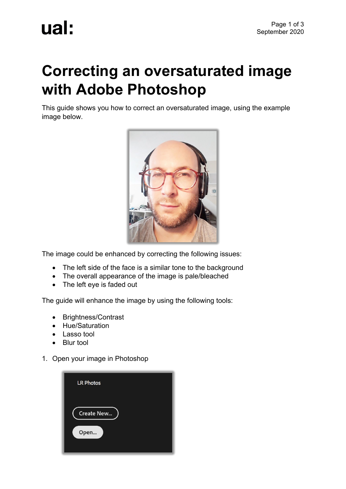## **Correcting an oversaturated image with Adobe Photoshop**

This guide shows you how to correct an oversaturated image, using the example image below.



The image could be enhanced by correcting the following issues:

- The left side of the face is a similar tone to the background
- The overall appearance of the image is pale/bleached
- The left eye is faded out

The guide will enhance the image by using the following tools:

- Brightness/Contrast
- Hue/Saturation
- Lasso tool
- Blur tool
- 1. Open your image in Photoshop

| <b>LR Photos</b>          |  |
|---------------------------|--|
| <b>Create New</b><br>Open |  |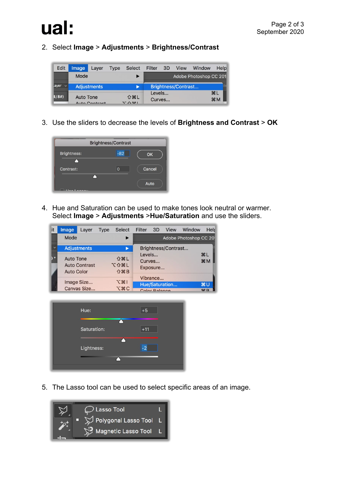

## 2. Select **Image** > **Adjustments** > **Brightness/Contrast**

| <b>Edit</b>     | Image              | Laver         | <b>Type</b> | <b>Select</b>                     | Filter 3D |        | <b>View</b> | Window                 | Help                              |
|-----------------|--------------------|---------------|-------------|-----------------------------------|-----------|--------|-------------|------------------------|-----------------------------------|
|                 | Mode               |               |             |                                   |           |        |             | Adobe Photoshop CC 201 |                                   |
| Layer<br>$\sim$ | <b>Adjustments</b> |               |             | Brightness/Contrast               |           |        |             |                        |                                   |
| B/8#            | <b>Auto Tone</b>   | Auto Contract |             | <b>介出L</b><br>$7 - \triangle 991$ | Levels    | Curves |             |                        | H <sub>L</sub><br>H <sup>36</sup> |

3. Use the sliders to decrease the levels of **Brightness and Contrast** > **OK**



4. Hue and Saturation can be used to make tones look neutral or warmer. Select **Image** > **Adjustments** >**Hue/Saturation** and use the sliders.



| Hue:        | $+5$  |
|-------------|-------|
| Saturation: | $+11$ |
|             |       |
| Lightness:  | $-2$  |
|             |       |
|             |       |

5. The Lasso tool can be used to select specific areas of an image.